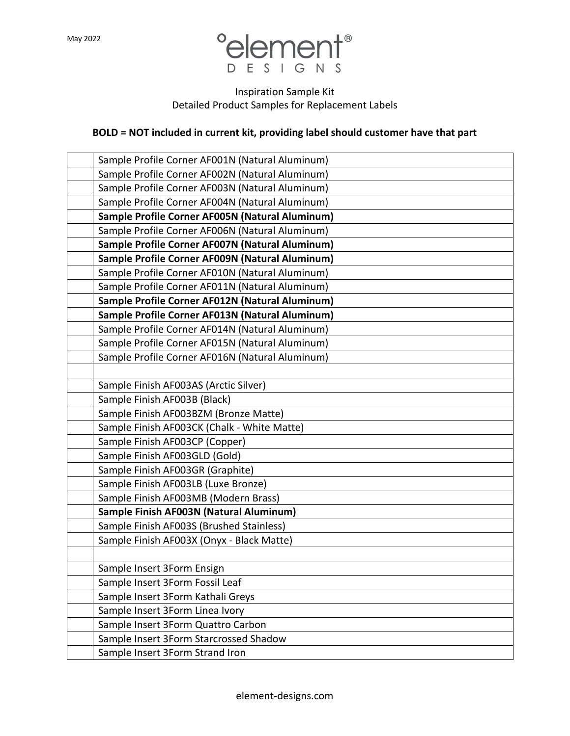

## Inspiration Sample Kit Detailed Product Samples for Replacement Labels

## **BOLD = NOT included in current kit, providing label should customer have that part**

| Sample Profile Corner AF001N (Natural Aluminum) |
|-------------------------------------------------|
| Sample Profile Corner AF002N (Natural Aluminum) |
| Sample Profile Corner AF003N (Natural Aluminum) |
| Sample Profile Corner AF004N (Natural Aluminum) |
| Sample Profile Corner AF005N (Natural Aluminum) |
| Sample Profile Corner AF006N (Natural Aluminum) |
| Sample Profile Corner AF007N (Natural Aluminum) |
| Sample Profile Corner AF009N (Natural Aluminum) |
| Sample Profile Corner AF010N (Natural Aluminum) |
| Sample Profile Corner AF011N (Natural Aluminum) |
| Sample Profile Corner AF012N (Natural Aluminum) |
| Sample Profile Corner AF013N (Natural Aluminum) |
| Sample Profile Corner AF014N (Natural Aluminum) |
| Sample Profile Corner AF015N (Natural Aluminum) |
| Sample Profile Corner AF016N (Natural Aluminum) |
|                                                 |
| Sample Finish AF003AS (Arctic Silver)           |
| Sample Finish AF003B (Black)                    |
| Sample Finish AF003BZM (Bronze Matte)           |
| Sample Finish AF003CK (Chalk - White Matte)     |
| Sample Finish AF003CP (Copper)                  |
| Sample Finish AF003GLD (Gold)                   |
| Sample Finish AF003GR (Graphite)                |
| Sample Finish AF003LB (Luxe Bronze)             |
| Sample Finish AF003MB (Modern Brass)            |
| Sample Finish AF003N (Natural Aluminum)         |
| Sample Finish AF003S (Brushed Stainless)        |
| Sample Finish AF003X (Onyx - Black Matte)       |
|                                                 |
| Sample Insert 3Form Ensign                      |
| Sample Insert 3Form Fossil Leaf                 |
| Sample Insert 3Form Kathali Greys               |
| Sample Insert 3Form Linea Ivory                 |
| Sample Insert 3Form Quattro Carbon              |
| Sample Insert 3Form Starcrossed Shadow          |
| Sample Insert 3Form Strand Iron                 |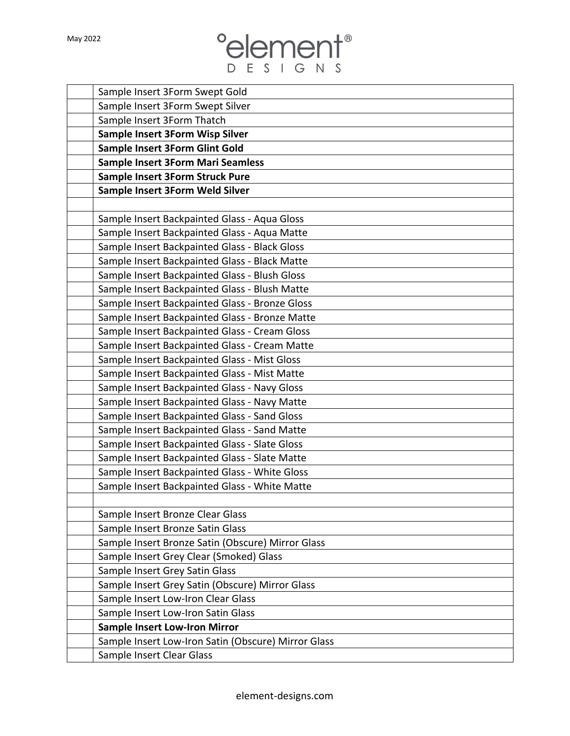| May 2022 |                                                     |
|----------|-----------------------------------------------------|
|          | <b>PESIGNS</b>                                      |
|          |                                                     |
|          | Sample Insert 3Form Swept Gold                      |
|          | Sample Insert 3Form Swept Silver                    |
|          | Sample Insert 3Form Thatch                          |
|          | Sample Insert 3Form Wisp Silver                     |
|          | Sample Insert 3Form Glint Gold                      |
|          | <b>Sample Insert 3Form Mari Seamless</b>            |
|          | Sample Insert 3Form Struck Pure                     |
|          | Sample Insert 3Form Weld Silver                     |
|          |                                                     |
|          | Sample Insert Backpainted Glass - Aqua Gloss        |
|          | Sample Insert Backpainted Glass - Aqua Matte        |
|          | Sample Insert Backpainted Glass - Black Gloss       |
|          | Sample Insert Backpainted Glass - Black Matte       |
|          | Sample Insert Backpainted Glass - Blush Gloss       |
|          | Sample Insert Backpainted Glass - Blush Matte       |
|          | Sample Insert Backpainted Glass - Bronze Gloss      |
|          | Sample Insert Backpainted Glass - Bronze Matte      |
|          | Sample Insert Backpainted Glass - Cream Gloss       |
|          | Sample Insert Backpainted Glass - Cream Matte       |
|          | Sample Insert Backpainted Glass - Mist Gloss        |
|          | Sample Insert Backpainted Glass - Mist Matte        |
|          | Sample Insert Backpainted Glass - Navy Gloss        |
|          | Sample Insert Backpainted Glass - Navy Matte        |
|          | Sample Insert Backpainted Glass - Sand Gloss        |
|          | Sample Insert Backpainted Glass - Sand Matte        |
|          | Sample Insert Backpainted Glass - Slate Gloss       |
|          | Sample Insert Backpainted Glass - Slate Matte       |
|          | Sample Insert Backpainted Glass - White Gloss       |
|          | Sample Insert Backpainted Glass - White Matte       |
|          |                                                     |
|          | Sample Insert Bronze Clear Glass                    |
|          | Sample Insert Bronze Satin Glass                    |
|          | Sample Insert Bronze Satin (Obscure) Mirror Glass   |
|          | Sample Insert Grey Clear (Smoked) Glass             |
|          | Sample Insert Grey Satin Glass                      |
|          | Sample Insert Grey Satin (Obscure) Mirror Glass     |
|          | Sample Insert Low-Iron Clear Glass                  |
|          | Sample Insert Low-Iron Satin Glass                  |
|          | <b>Sample Insert Low-Iron Mirror</b>                |
|          | Sample Insert Low-Iron Satin (Obscure) Mirror Glass |
|          | Sample Insert Clear Glass                           |